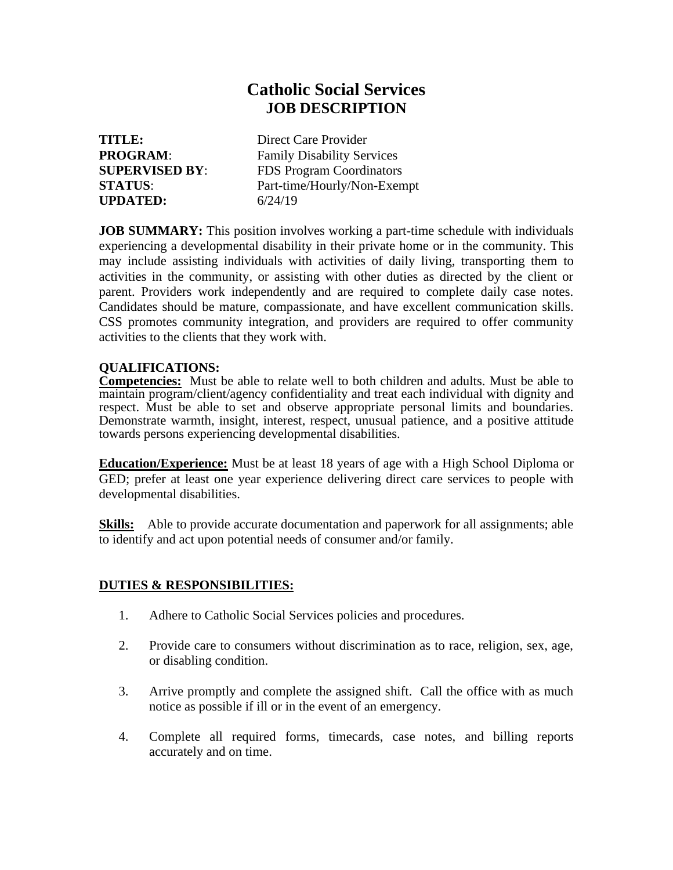## **Catholic Social Services JOB DESCRIPTION**

**UPDATED:** 6/24/19

**TITLE:** Direct Care Provider **PROGRAM:** Family Disability Services **SUPERVISED BY**: FDS Program Coordinators **STATUS**: Part-time/Hourly/Non-Exempt

**JOB SUMMARY:** This position involves working a part-time schedule with individuals experiencing a developmental disability in their private home or in the community. This may include assisting individuals with activities of daily living, transporting them to activities in the community, or assisting with other duties as directed by the client or parent. Providers work independently and are required to complete daily case notes. Candidates should be mature, compassionate, and have excellent communication skills. CSS promotes community integration, and providers are required to offer community activities to the clients that they work with.

## **QUALIFICATIONS:**

**Competencies:** Must be able to relate well to both children and adults. Must be able to maintain program/client/agency confidentiality and treat each individual with dignity and respect. Must be able to set and observe appropriate personal limits and boundaries. Demonstrate warmth, insight, interest, respect, unusual patience, and a positive attitude towards persons experiencing developmental disabilities.

**Education/Experience:** Must be at least 18 years of age with a High School Diploma or GED; prefer at least one year experience delivering direct care services to people with developmental disabilities.

**Skills:** Able to provide accurate documentation and paperwork for all assignments; able to identify and act upon potential needs of consumer and/or family.

## **DUTIES & RESPONSIBILITIES:**

- 1. Adhere to Catholic Social Services policies and procedures.
- 2. Provide care to consumers without discrimination as to race, religion, sex, age, or disabling condition.
- 3. Arrive promptly and complete the assigned shift. Call the office with as much notice as possible if ill or in the event of an emergency.
- 4. Complete all required forms, timecards, case notes, and billing reports accurately and on time.